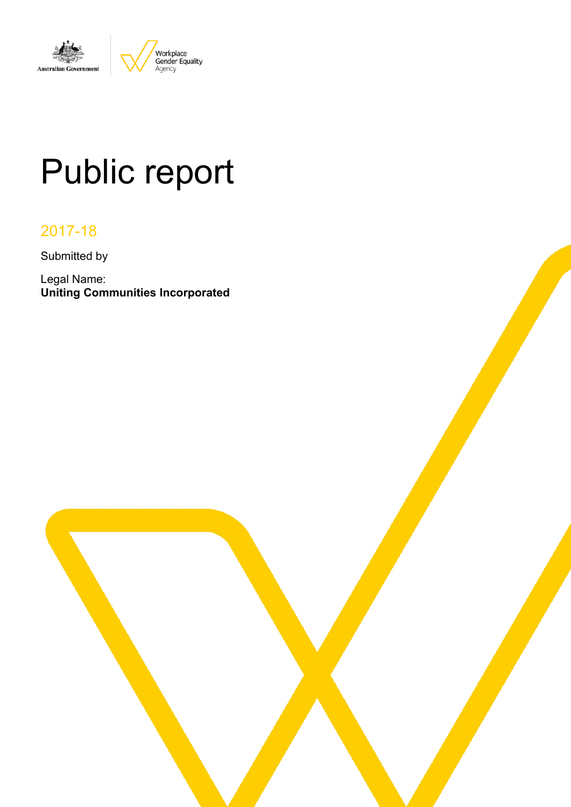

# Public report

# 2017-18

Submitted by

Legal Name: **Uniting Communities Incorporated**

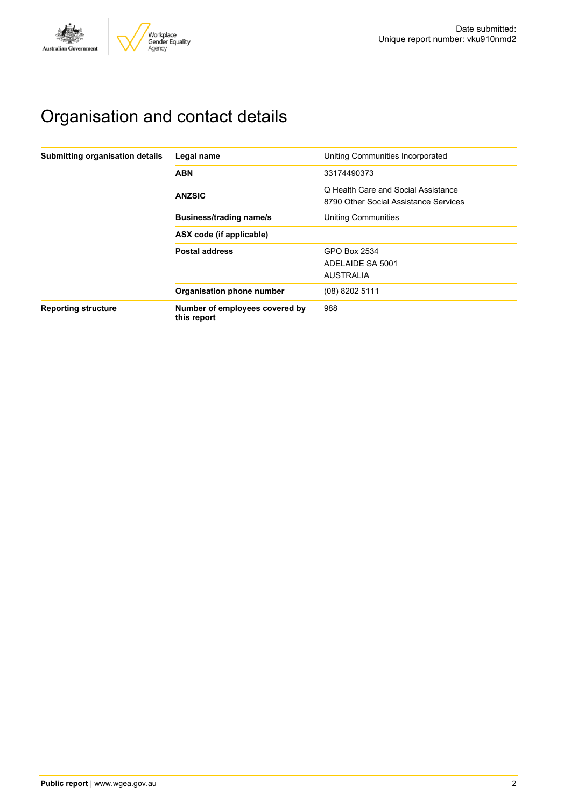

# Organisation and contact details

| Submitting organisation details | Legal name                                    | Uniting Communities Incorporated                                             |  |  |  |
|---------------------------------|-----------------------------------------------|------------------------------------------------------------------------------|--|--|--|
|                                 | <b>ABN</b>                                    | 33174490373                                                                  |  |  |  |
|                                 | <b>ANZSIC</b>                                 | Q Health Care and Social Assistance<br>8790 Other Social Assistance Services |  |  |  |
|                                 | <b>Business/trading name/s</b>                | <b>Uniting Communities</b>                                                   |  |  |  |
|                                 | ASX code (if applicable)                      |                                                                              |  |  |  |
|                                 | <b>Postal address</b>                         | GPO Box 2534<br>ADELAIDE SA 5001<br><b>AUSTRALIA</b>                         |  |  |  |
|                                 | Organisation phone number                     | (08) 8202 5111                                                               |  |  |  |
| <b>Reporting structure</b>      | Number of employees covered by<br>this report | 988                                                                          |  |  |  |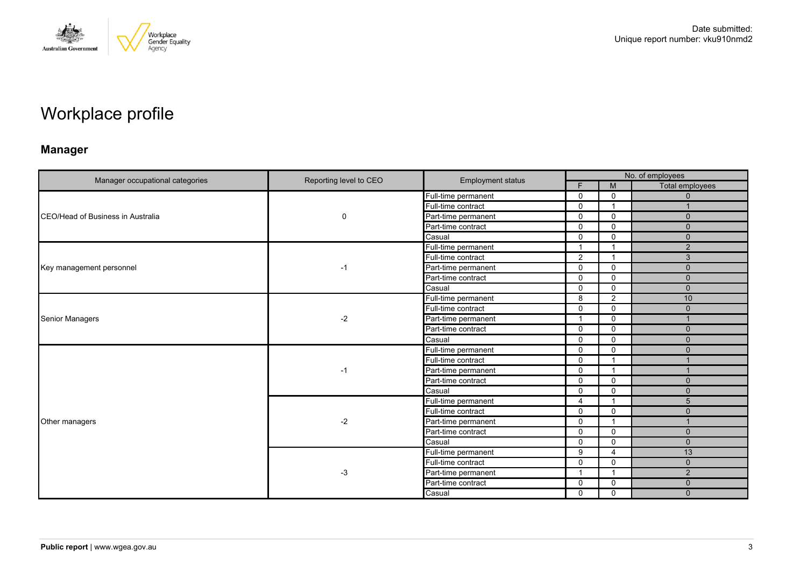

# Workplace profile

### **Manager**

|                                   | Reporting level to CEO |                          |                      |                          | No. of employees |  |
|-----------------------------------|------------------------|--------------------------|----------------------|--------------------------|------------------|--|
| Manager occupational categories   |                        | <b>Employment status</b> | F.                   | M                        | Total employees  |  |
|                                   |                        | Full-time permanent      | $\mathbf{0}$         | 0                        | $\mathbf{0}$     |  |
|                                   |                        | Full-time contract       | $\Omega$             | $\overline{1}$           |                  |  |
| CEO/Head of Business in Australia | 0                      | Part-time permanent      | $\mathbf 0$          | $\mathbf 0$              | $\mathbf{0}$     |  |
|                                   |                        | Part-time contract       | $\mathbf 0$          | $\mathbf 0$              | $\mathbf{0}$     |  |
|                                   |                        | Casual                   | $\Omega$             | $\Omega$                 | $\Omega$         |  |
|                                   |                        | Full-time permanent      | $\blacktriangleleft$ | -1                       | 2                |  |
|                                   |                        | Full-time contract       | 2                    | $\mathbf{1}$             | 3                |  |
| Key management personnel          | -1                     | Part-time permanent      | $\mathbf{0}$         | $\Omega$                 | $\mathbf{0}$     |  |
|                                   |                        | Part-time contract       | $\Omega$             | $\mathbf 0$              | $\Omega$         |  |
|                                   |                        | Casual                   | $\mathbf 0$          | $\mathbf 0$              | $\mathbf{0}$     |  |
| Senior Managers                   | $-2$                   | Full-time permanent      | 8                    | 2                        | 10               |  |
|                                   |                        | Full-time contract       | $\Omega$             | $\mathbf 0$              | $\Omega$         |  |
|                                   |                        | Part-time permanent      | $\overline{1}$       | $\mathbf 0$              |                  |  |
|                                   |                        | Part-time contract       | $\mathbf{0}$         | $\Omega$                 | $\mathbf{0}$     |  |
|                                   |                        | Casual                   | $\Omega$             | $\mathbf 0$              | $\Omega$         |  |
|                                   | -1                     | Full-time permanent      | $\mathbf 0$          | $\mathbf 0$              | $\mathbf{0}$     |  |
|                                   |                        | Full-time contract       | $\Omega$             | $\overline{\mathbf{1}}$  |                  |  |
|                                   |                        | Part-time permanent      | $\Omega$             | -1                       |                  |  |
|                                   |                        | Part-time contract       | $\Omega$             | $\mathbf 0$              | $\mathbf{0}$     |  |
|                                   |                        | Casual                   | $\Omega$             | $\Omega$                 | $\Omega$         |  |
|                                   |                        | Full-time permanent      | $\overline{4}$       | $\overline{1}$           | 5                |  |
|                                   |                        | Full-time contract       | $\Omega$             | $\Omega$                 | $\mathbf{0}$     |  |
| Other managers                    | $-2$                   | Part-time permanent      | $\mathbf 0$          | $\overline{\phantom{a}}$ |                  |  |
|                                   |                        | Part-time contract       | $\mathbf 0$          | $\mathbf 0$              | $\mathbf{0}$     |  |
|                                   |                        | Casual                   | $\Omega$             | $\mathbf 0$              | $\mathbf 0$      |  |
|                                   |                        | Full-time permanent      | 9                    | $\overline{4}$           | 13               |  |
|                                   |                        | Full-time contract       | $\mathbf 0$          | $\mathbf 0$              | $\mathbf{0}$     |  |
|                                   | $-3$                   | Part-time permanent      |                      | -1                       | 2                |  |
|                                   |                        | Part-time contract       | 0                    | 0                        | $\mathbf{0}$     |  |
|                                   |                        | Casual                   | $\mathbf 0$          | $\mathbf 0$              | $\mathbf{0}$     |  |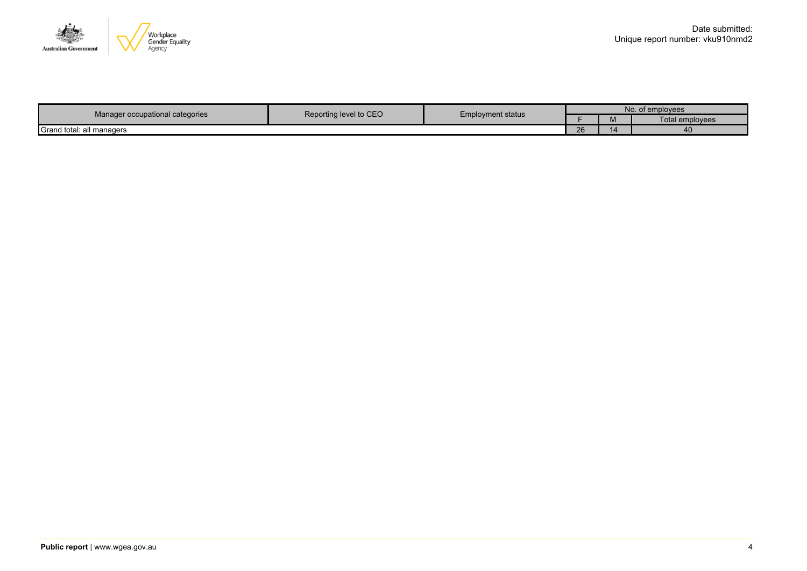

|                                                                                       |  |    |       | No. of employees       |
|---------------------------------------------------------------------------------------|--|----|-------|------------------------|
| Reporting level to CEO<br><b>Employment status</b><br>Manager occupational categories |  |    | 1 V I | <b>Total employees</b> |
| Grand total:<br>all managers                                                          |  | 26 |       | ≖⊾                     |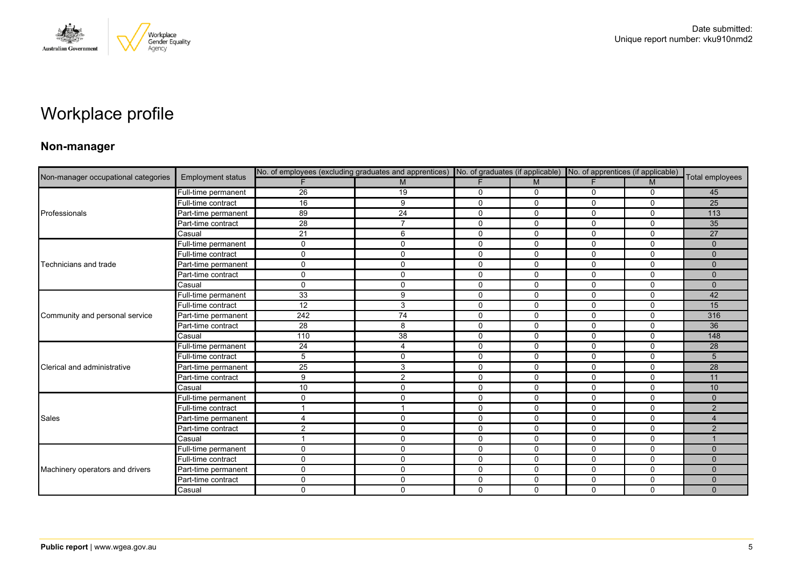

# Workplace profile

### **Non-manager**

|                                     |                          | No. of employees (excluding graduates and apprentices) No. of graduates (if applicable) |                |              |              | No. of apprentices (if applicable) |              |                 |
|-------------------------------------|--------------------------|-----------------------------------------------------------------------------------------|----------------|--------------|--------------|------------------------------------|--------------|-----------------|
| Non-manager occupational categories | <b>Employment status</b> |                                                                                         | M              |              | M            | E                                  | M            | Total employees |
|                                     | Full-time permanent      | $\overline{26}$                                                                         | 19             | 0            | 0            | 0                                  | 0            | 45              |
|                                     | Full-time contract       | 16                                                                                      | 9              | $\mathbf{0}$ | $\mathbf{0}$ | $\Omega$                           | $\mathbf{0}$ | 25              |
| Professionals                       | Part-time permanent      | 89                                                                                      | 24             | $\mathbf 0$  | $\mathbf 0$  | 0                                  | $\mathbf 0$  | 113             |
|                                     | Part-time contract       | 28                                                                                      | $\overline{7}$ | 0            | $\mathbf 0$  | 0                                  | $\mathbf 0$  | 35              |
|                                     | Casual                   | 21                                                                                      | 6              | $\mathbf{0}$ | $\mathbf{0}$ | $\Omega$                           | $\Omega$     | 27              |
|                                     | Full-time permanent      | $\mathbf 0$                                                                             | 0              | $\mathbf 0$  | $\mathbf 0$  | 0                                  | $\mathbf 0$  | $\mathbf{0}$    |
|                                     | Full-time contract       | $\mathbf{0}$                                                                            | $\mathbf 0$    | 0            | $\mathbf 0$  | 0                                  | $\mathbf 0$  | $\mathbf{0}$    |
| Technicians and trade               | Part-time permanent      | $\mathbf 0$                                                                             | 0              | $\mathbf 0$  | $\mathbf 0$  | 0                                  | $\mathbf 0$  | $\mathbf{0}$    |
|                                     | Part-time contract       | $\mathbf{0}$                                                                            | $\mathbf 0$    | $\mathbf{0}$ | $\mathbf{0}$ | $\Omega$                           | $\Omega$     | $\Omega$        |
|                                     | Casual                   | $\mathbf 0$                                                                             | 0              | 0            | $\mathbf 0$  | $\mathbf 0$                        | $\mathbf 0$  | $\mathbf{0}$    |
|                                     | Full-time permanent      | 33                                                                                      | 9              | $\mathbf 0$  | $\mathbf 0$  | $\Omega$                           | $\Omega$     | 42              |
|                                     | Full-time contract       | $\overline{12}$                                                                         | 3              | $\mathbf 0$  | $\mathbf 0$  | 0                                  | $\mathbf 0$  | 15              |
| Community and personal service      | Part-time permanent      | 242                                                                                     | 74             | $\mathbf 0$  | $\mathbf 0$  | 0                                  | $\mathbf 0$  | 316             |
|                                     | Part-time contract       | 28                                                                                      | 8              | $\mathbf 0$  | $\mathbf 0$  | $\Omega$                           | $\Omega$     | 36              |
|                                     | Casual                   | 110                                                                                     | 38             | $\mathbf 0$  | $\mathbf{0}$ | 0                                  | $\Omega$     | 148             |
|                                     | Full-time permanent      | 24                                                                                      | $\overline{4}$ | $\Omega$     | $\mathbf{0}$ | $\Omega$                           | $\Omega$     | 28              |
|                                     | Full-time contract       | $\overline{5}$                                                                          | 0              | 0            | 0            | 0                                  | 0            | 5               |
| Clerical and administrative         | Part-time permanent      | $\overline{25}$                                                                         | 3              | $\Omega$     | $\mathbf{0}$ | 0                                  | $\Omega$     | $\overline{28}$ |
|                                     | Part-time contract       | 9                                                                                       | 2              | $\mathbf 0$  | $\mathbf 0$  | 0                                  | $\mathbf 0$  | 11              |
|                                     | Casual                   | 10                                                                                      | 0              | $\mathbf 0$  | $\mathbf 0$  | $\mathbf 0$                        | $\mathbf 0$  | 10              |
|                                     | Full-time permanent      | $\mathbf 0$                                                                             | $\mathbf 0$    | $\mathbf 0$  | $\mathbf 0$  | 0                                  | $\mathbf 0$  | $\Omega$        |
|                                     | Full-time contract       |                                                                                         | $\mathbf{1}$   | $\mathbf 0$  | $\mathbf{0}$ | $\Omega$                           | $\Omega$     | 2               |
| Sales                               | Part-time permanent      | 4                                                                                       | $\mathbf 0$    | $\mathbf 0$  | $\mathbf 0$  | 0                                  | $\mathbf 0$  | $\overline{4}$  |
|                                     | Part-time contract       | $\overline{2}$                                                                          | 0              | $\mathbf 0$  | $\mathbf 0$  | 0                                  | $\mathbf 0$  | 2               |
|                                     | Casual                   |                                                                                         | 0              | $\mathbf 0$  | $\mathbf 0$  | 0                                  | $\mathbf 0$  |                 |
|                                     | Full-time permanent      | 0                                                                                       | $\mathbf 0$    | 0            | 0            | 0                                  | 0            | $\mathbf{0}$    |
|                                     | Full-time contract       | $\mathbf 0$                                                                             | 0              | $\mathbf 0$  | $\mathbf 0$  | 0                                  | $\mathbf 0$  | $\Omega$        |
| Machinery operators and drivers     | Part-time permanent      | $\mathbf 0$                                                                             | $\mathbf 0$    | $\mathbf 0$  | $\mathbf 0$  | 0                                  | $\mathbf 0$  | $\mathbf{0}$    |
|                                     | Part-time contract       | $\Omega$                                                                                | 0              | 0            | 0            | 0                                  | 0            | $\mathbf{0}$    |
|                                     | Casual                   | $\mathbf 0$                                                                             | $\mathbf 0$    | $\mathbf 0$  | $\mathbf 0$  | $\Omega$                           | $\mathbf 0$  | $\mathbf{0}$    |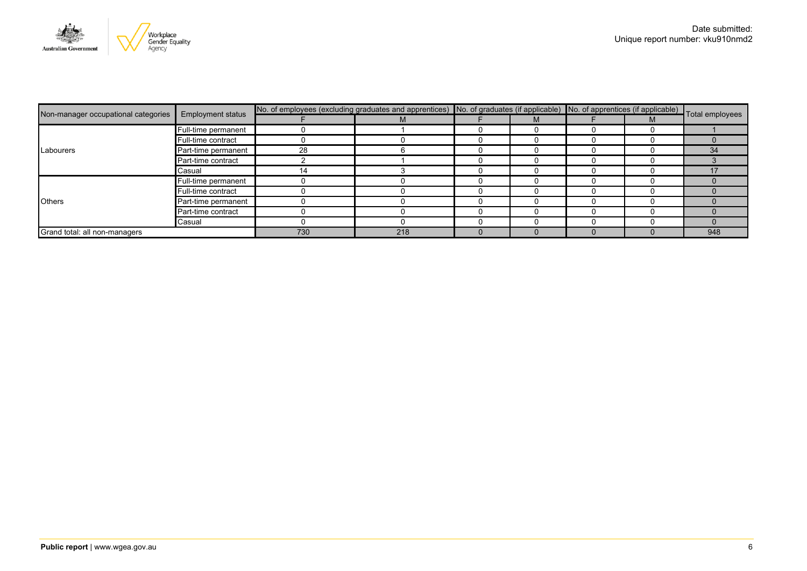

|                                     | <b>Employment status</b> | No. of employees (excluding graduates and apprentices) No. of graduates (if applicable) No. of apprentices (if applicable) Total employees |     |  |  |  |  |     |
|-------------------------------------|--------------------------|--------------------------------------------------------------------------------------------------------------------------------------------|-----|--|--|--|--|-----|
| Non-manager occupational categories |                          |                                                                                                                                            | М   |  |  |  |  |     |
|                                     | Full-time permanent      |                                                                                                                                            |     |  |  |  |  |     |
|                                     | Full-time contract       |                                                                                                                                            |     |  |  |  |  |     |
| Labourers                           | Part-time permanent      | 28                                                                                                                                         |     |  |  |  |  | 34  |
|                                     | Part-time contract       |                                                                                                                                            |     |  |  |  |  |     |
|                                     | Casual                   |                                                                                                                                            |     |  |  |  |  |     |
|                                     | Full-time permanent      |                                                                                                                                            |     |  |  |  |  |     |
|                                     | Full-time contract       |                                                                                                                                            |     |  |  |  |  |     |
| <b>Others</b>                       | Part-time permanent      |                                                                                                                                            |     |  |  |  |  |     |
|                                     | Part-time contract       |                                                                                                                                            |     |  |  |  |  |     |
|                                     | Casual                   |                                                                                                                                            |     |  |  |  |  |     |
| Grand total: all non-managers       |                          | 730                                                                                                                                        | 218 |  |  |  |  | 948 |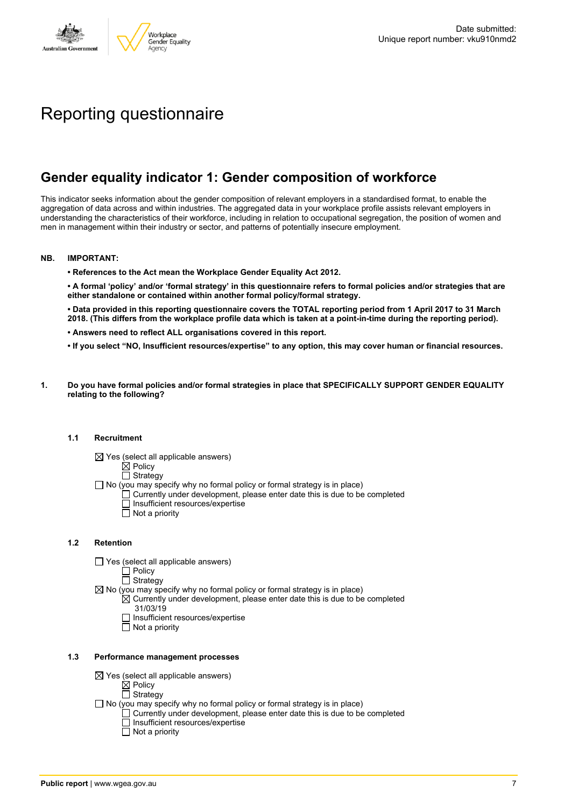

# Reporting questionnaire

### **Gender equality indicator 1: Gender composition of workforce**

This indicator seeks information about the gender composition of relevant employers in a standardised format, to enable the aggregation of data across and within industries. The aggregated data in your workplace profile assists relevant employers in understanding the characteristics of their workforce, including in relation to occupational segregation, the position of women and men in management within their industry or sector, and patterns of potentially insecure employment.

#### **NB. IMPORTANT:**

**• References to the Act mean the Workplace Gender Equality Act 2012.**

• A formal 'policy' and/or 'formal strategy' in this questionnaire refers to formal policies and/or strategies that are **either standalone or contained within another formal policy/formal strategy.**

• Data provided in this reporting questionnaire covers the TOTAL reporting period from 1 April 2017 to 31 March 2018. (This differs from the workplace profile data which is taken at a point-in-time during the reporting period).

- **• Answers need to reflect ALL organisations covered in this report.**
- . If you select "NO, Insufficient resources/expertise" to any option, this may cover human or financial resources.
- **1. Do you have formal policies and/or formal strategies in place that SPECIFICALLY SUPPORT GENDER EQUALITY relating to the following?**

#### **1.1 Recruitment**

- $\boxtimes$  Yes (select all applicable answers)
	- $\mathbb{\dot{A}}$  Policy
	- $\Box$  Strategy
- No (you may specify why no formal policy or formal strategy is in place)
	- $\Box$  Currently under development, please enter date this is due to be completed
		- $\overline{\Box}$  Insufficient resources/expertise
		- $\Box$  Not a priority

#### **1.2 Retention**

- $\Box$  Yes (select all applicable answers)
	- $\Box$  Policy
	- $\Box$  Strategy
- $\boxtimes$  No (you may specify why no formal policy or formal strategy is in place)
	- $\boxtimes$  Currently under development, please enter date this is due to be completed 31/03/19
		- $\Box$  Insufficient resources/expertise
		- $\Box$  Not a priority

#### **1.3 Performance management processes**

- $\boxtimes$  Yes (select all applicable answers)
	- $\boxtimes$  Policy
	- $\Box$  Strategy
- $\Box$  No (you may specify why no formal policy or formal strategy is in place)
	- $\Box$  Currently under development, please enter date this is due to be completed  $\Box$  Insufficient resources/expertise
		- $\overline{\Box}$  Not a priority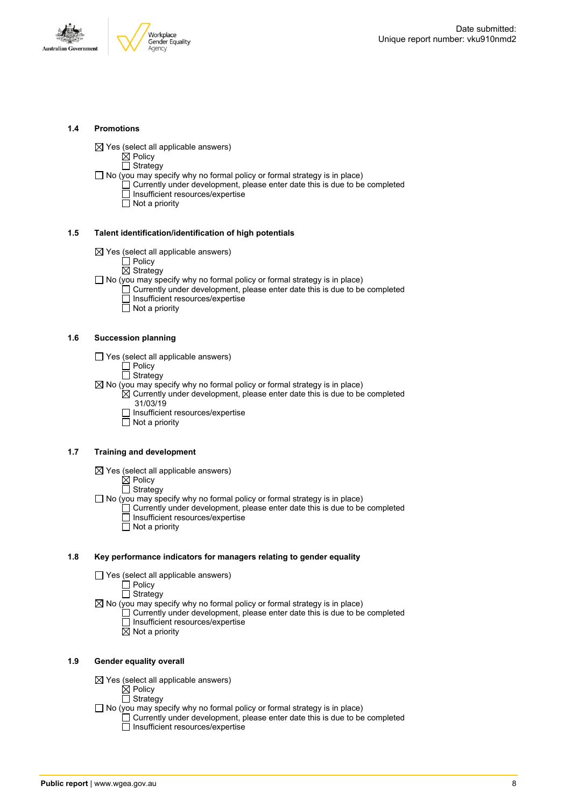



#### **1.4 Promotions**

 $\boxtimes$  Yes (select all applicable answers)

Policy Strategy

 $\Box$  No (you may specify why no formal policy or formal strategy is in place)

- Currently under development, please enter date this is due to be completed Insufficient resources/expertise
- $\overline{\Box}$  Not a priority

#### **1.5 Talent identification/identification of high potentials**

- $\boxtimes$  Yes (select all applicable answers)
	- $\Box$  Policy

 $\boxtimes$  Strategy

- □ No (you may specify why no formal policy or formal strategy is in place)
	- Currently under development, please enter date this is due to be completed  $\Box$  Insufficient resources/expertise  $\Box$  Not a priority
		-

#### **1.6 Succession planning**

- $\Box$  Yes (select all applicable answers)
	- Policy
	- Strategy
- $\boxtimes$  No (you may specify why no formal policy or formal strategy is in place)
	- $\boxtimes$  Currently under development, please enter date this is due to be completed 31/03/19
		- □ Insufficient resources/expertise
		- $\Box$  Not a priority

#### **1.7 Training and development**

 $\boxtimes$  Yes (select all applicable answers)

 $\mathbb{\dot{Z}}$  Policy

 $\Box$  Strategy

 $\Box$  No (you may specify why no formal policy or formal strategy is in place)  $\Box$  Currently under development, please enter date this is due to be completed Insufficient resources/expertise Not a priority

#### **1.8 Key performance indicators for managers relating to gender equality**

 $\Box$  Yes (select all applicable answers)

Policy

 $\Box$  Strategy

 $\boxtimes$  No (you may specify why no formal policy or formal strategy is in place)

- Currently under development, please enter date this is due to be completed  $\overline{\Box}$  Insufficient resources/expertise
	- $\boxtimes$  Not a priority

#### **1.9 Gender equality overall**

- $\boxtimes$  Yes (select all applicable answers)
	- $\boxtimes$  Policy
	- $\Box$  Strategy
- $\Box$  No (you may specify why no formal policy or formal strategy is in place)
	- $\Box$  Currently under development, please enter date this is due to be completed □ Insufficient resources/expertise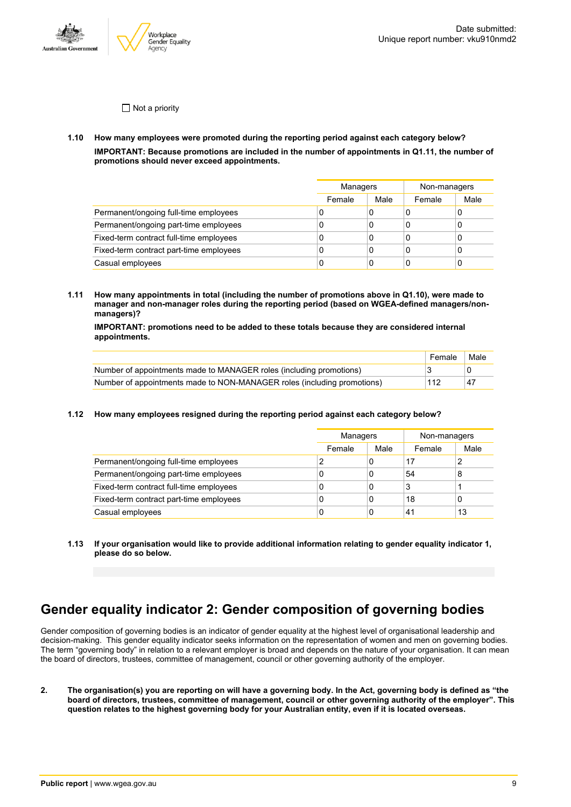

 $\Box$  Not a priority

**1.10 How many employees were promoted during the reporting period against each category below? IMPORTANT: Because promotions are included in the number of appointments in Q1.11, the number of promotions should never exceed appointments.**

|                                         |        | Managers |        | Non-managers |
|-----------------------------------------|--------|----------|--------|--------------|
|                                         | Female | Male     | Female | Male         |
| Permanent/ongoing full-time employees   | U      | 0        | ι      |              |
| Permanent/ongoing part-time employees   | 0      | 0        | C      |              |
| Fixed-term contract full-time employees | 0      | 0        | C      |              |
| Fixed-term contract part-time employees | C      | 0        | C      |              |
| Casual employees                        | U      |          |        |              |

**1.11 How many appointments in total (including the number of promotions above in Q1.10), were made to manager and non-manager roles during the reporting period (based on WGEA-defined managers/nonmanagers)?**

**IMPORTANT: promotions need to be added to these totals because they are considered internal appointments.**

|                                                                         | Female | Male |
|-------------------------------------------------------------------------|--------|------|
| Number of appointments made to MANAGER roles (including promotions)     |        |      |
| Number of appointments made to NON-MANAGER roles (including promotions) | 112    | .47  |

**1.12 How many employees resigned during the reporting period against each category below?**

|                                         |        | Managers |        | Non-managers |
|-----------------------------------------|--------|----------|--------|--------------|
|                                         | Female | Male     | Female | Male         |
| Permanent/ongoing full-time employees   |        | 0        | 17     | 2            |
| Permanent/ongoing part-time employees   | C      | 0        | 54     | 8            |
| Fixed-term contract full-time employees | 0      | 0        | 3      |              |
| Fixed-term contract part-time employees | 0      | 0        | 18     | 0            |
| Casual employees                        | C      | 0        | 41     | 13           |

**1.13 If your organisation would like to provide additional information relating to gender equality indicator 1, please do so below.**

# **Gender equality indicator 2: Gender composition of governing bodies**

Gender composition of governing bodies is an indicator of gender equality at the highest level of organisational leadership and decision-making. This gender equality indicator seeks information on the representation of women and men on governing bodies. The term "governing body" in relation to a relevant employer is broad and depends on the nature of your organisation. It can mean the board of directors, trustees, committee of management, council or other governing authority of the employer.

2. The organisation(s) you are reporting on will have a governing body. In the Act, governing body is defined as "the board of directors, trustees, committee of management, council or other governing authority of the employer". This question relates to the highest governing body for your Australian entity, even if it is located overseas.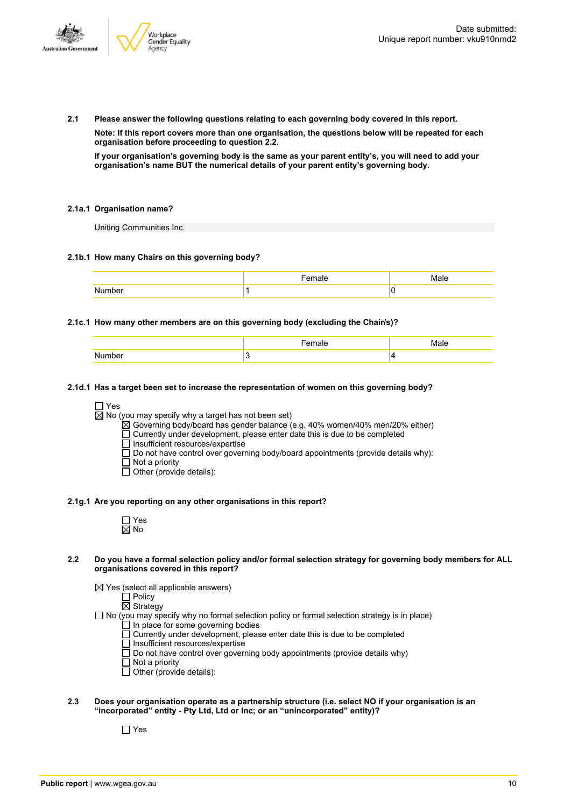

**2.1 Please answer the following questions relating to each governing body covered in this report. Note: If this report covers more than one organisation, the questions below will be repeated for each organisation before proceeding to question 2.2.**

If your organisation's governing body is the same as your parent entity's, you will need to add your **organisation's name BUT the numerical details of your parent entity's governing body.**

#### **2.1a.1 Organisation name?**

Uniting Communities Inc.

#### **2.1b.1 How many Chairs on this governing body?**

|       | . <b>.</b> .<br>⊿н⊷ | $\mathbf{A}$ – $\mathbf{L}$<br>яΡ |
|-------|---------------------|-----------------------------------|
| ımher |                     |                                   |

#### **2.1c.1 How many other members are on this governing body (excluding the Chair/s)?**

|        | Female | Male |
|--------|--------|------|
| Number |        |      |

#### **2.1d.1 Has a target been set to increase the representation of women on this governing body?**

#### □ Yes

 $\overline{\boxtimes}$  No (you may specify why a target has not been set)

 $\mathbb{\tilde{A}}$  Governing body/board has gender balance (e.g. 40% women/40% men/20% either)

 $\Box$  Currently under development, please enter date this is due to be completed

Insufficient resources/expertise

Do not have control over governing body/board appointments (provide details why):

- Not a priority
- $\overline{\Box}$  Other (provide details):

#### **2.1g.1 Are you reporting on any other organisations in this report?**

- 2.2 Do you have a formal selection policy and/or formal selection strategy for governing body members for ALL **organisations covered in this report?**
	- $\boxtimes$  Yes (select all applicable answers)
		- $\Box$  Policy

 $\overline{\boxtimes}$  Strategy

 $\Box$  No (you may specify why no formal selection policy or formal selection strategy is in place)

- In place for some governing bodies
- Currently under development, please enter date this is due to be completed
- $\overline{\Pi}$  Insufficient resources/expertise
- $\Box$  Do not have control over governing body appointments (provide details why)
- Not a priority
- Other (provide details):
- **2.3 Does your organisation operate as a partnership structure (i.e. select NO if your organisation is an "incorporated" entity - Pty Ltd, Ltd or Inc; or an "unincorporated" entity)?**

 $\Box$  Yes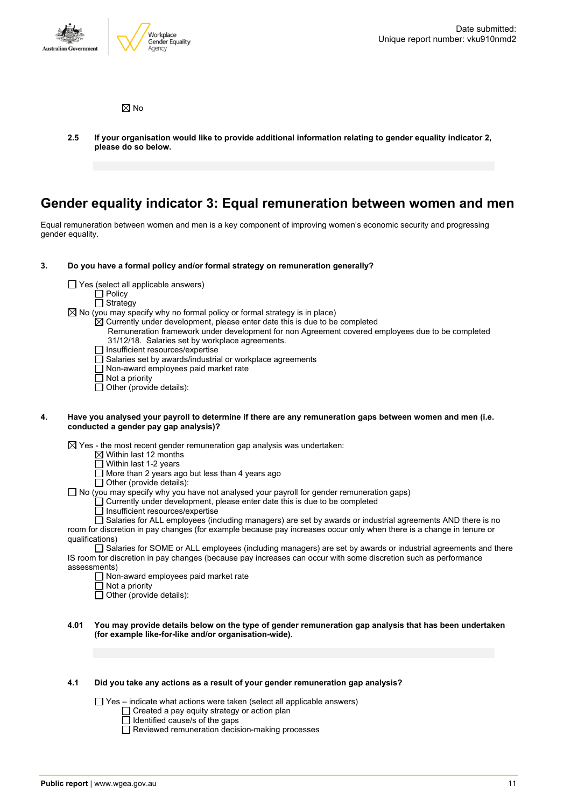

 $\boxtimes$  No

**2.5 If your organisation would like to provide additional information relating to gender equality indicator 2, please do so below.**

### **Gender equality indicator 3: Equal remuneration between women and men**

Equal remuneration between women and men is a key component of improving women's economic security and progressing gender equality.

#### **3. Do you have a formal policy and/or formal strategy on remuneration generally?**

- $\Box$  Yes (select all applicable answers)
	- $\overline{\Box}$  Policy
	- □ Strategy

 $\boxtimes$  No (you may specify why no formal policy or formal strategy is in place)

 $\boxtimes$  Currently under development, please enter date this is due to be completed

- Remuneration framework under development for non Agreement covered employees due to be completed 31/12/18. Salaries set by workplace agreements.
- $\Box$  Insufficient resources/expertise
- $\overline{\Box}$  Salaries set by awards/industrial or workplace agreements
- $\Box$  Non-award employees paid market rate
- Not a priority
- Other (provide details):

#### 4. Have you analysed your payroll to determine if there are any remuneration gaps between women and men (i.e. **conducted a gender pay gap analysis)?**

 $\boxtimes$  Yes - the most recent gender remuneration gap analysis was undertaken:

- $\boxtimes$  Within last 12 months
- Within last 1-2 years
- More than 2 years ago but less than 4 years ago
- Other (provide details):
- $\Box$  No (you may specify why you have not analysed your payroll for gender remuneration gaps)
	- $\Box$  Currently under development, please enter date this is due to be completed
	- $\Box$  Insufficient resources/expertise

□ Salaries for ALL employees (including managers) are set by awards or industrial agreements AND there is no room for discretion in pay changes (for example because pay increases occur only when there is a change in tenure or qualifications)

Salaries for SOME or ALL employees (including managers) are set by awards or industrial agreements and there IS room for discretion in pay changes (because pay increases can occur with some discretion such as performance assessments)

- □ Non-award employees paid market rate
- $\overline{\Box}$  Not a priority

 $\Box$  Other (provide details):

#### 4.01 You may provide details below on the type of gender remuneration gap analysis that has been undertaken **(for example like-for-like and/or organisation-wide).**

#### **4.1 Did you take any actions as a result of your gender remuneration gap analysis?**

 $\Box$  Yes – indicate what actions were taken (select all applicable answers)

- Created a pay equity strategy or action plan
	- Identified cause/s of the gaps
	- $\overline{\Box}$  Reviewed remuneration decision-making processes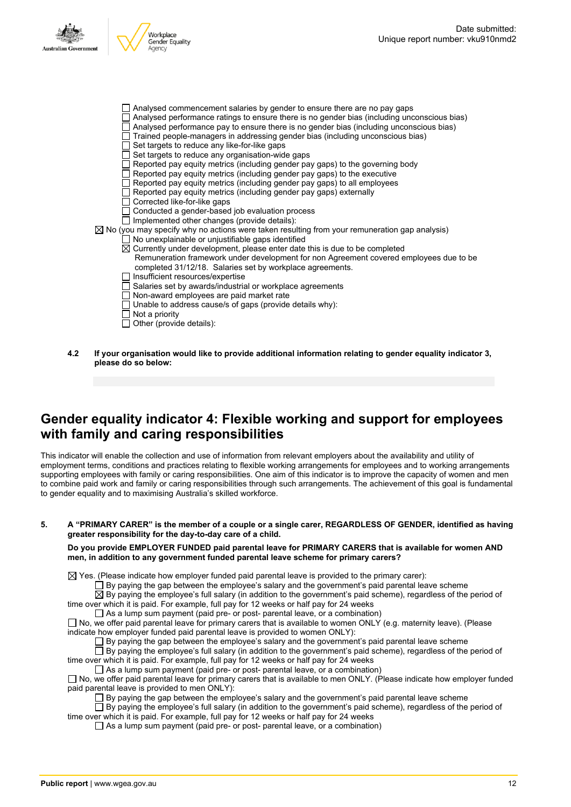



- □ Analysed commencement salaries by gender to ensure there are no pay gaps
- Analysed performance ratings to ensure there is no gender bias (including unconscious bias)
- $\Box$  Analysed performance pay to ensure there is no gender bias (including unconscious bias)
- Trained people-managers in addressing gender bias (including unconscious bias)
- $\Box$  Set targets to reduce any like-for-like gaps
- $\Box$  Set targets to reduce any organisation-wide gaps
- $\Box$  Reported pay equity metrics (including gender pay gaps) to the governing body
- Reported pay equity metrics (including gender pay gaps) to the executive
- Reported pay equity metrics (including gender pay gaps) to all employees
- $\Box$  Reported pay equity metrics (including gender pay gaps) externally
- □ Corrected like-for-like gaps
- $\Box$  Conducted a gender-based job evaluation process
- $\Box$  Implemented other changes (provide details):  $\boxtimes$  No (you may specify why no actions were taken resulting from your remuneration gap analysis)
	- No unexplainable or unjustifiable gaps identified
		- $\boxtimes$  Currently under development, please enter date this is due to be completed
			- Remuneration framework under development for non Agreement covered employees due to be completed 31/12/18. Salaries set by workplace agreements.
		- □ Insufficient resources/expertise
		- Salaries set by awards/industrial or workplace agreements
		- Non-award employees are paid market rate
		- $\Box$  Unable to address cause/s of gaps (provide details why):
		- $\Box$  Not a priority
		- $\overline{\Box}$  Other (provide details):
- **4.2 If your organisation would like to provide additional information relating to gender equality indicator 3, please do so below:**

### **Gender equality indicator 4: Flexible working and support for employees with family and caring responsibilities**

This indicator will enable the collection and use of information from relevant employers about the availability and utility of employment terms, conditions and practices relating to flexible working arrangements for employees and to working arrangements supporting employees with family or caring responsibilities. One aim of this indicator is to improve the capacity of women and men to combine paid work and family or caring responsibilities through such arrangements. The achievement of this goal is fundamental to gender equality and to maximising Australia's skilled workforce.

5. A "PRIMARY CARER" is the member of a couple or a single carer, REGARDLESS OF GENDER, identified as having **greater responsibility for the day-to-day care of a child.**

#### **Do you provide EMPLOYER FUNDED paid parental leave for PRIMARY CARERS that is available for women AND men, in addition to any government funded parental leave scheme for primary carers?**

 $\boxtimes$  Yes. (Please indicate how employer funded paid parental leave is provided to the primary carer):

 $\Box$  By paying the gap between the employee's salary and the government's paid parental leave scheme

By paying the employee's full salary (in addition to the government's paid scheme), regardless of the period of time over which it is paid. For example, full pay for 12 weeks or half pay for 24 weeks

As a lump sum payment (paid pre- or post- parental leave, or a combination)

 $\Box$  No, we offer paid parental leave for primary carers that is available to women ONLY (e.g. maternity leave). (Please indicate how employer funded paid parental leave is provided to women ONLY):

 $\Box$  By paying the gap between the employee's salary and the government's paid parental leave scheme

 $\Box$  By paying the employee's full salary (in addition to the government's paid scheme), regardless of the period of time over which it is paid. For example, full pay for 12 weeks or half pay for 24 weeks

 $\Box$  As a lump sum payment (paid pre- or post- parental leave, or a combination) □ No, we offer paid parental leave for primary carers that is available to men ONLY. (Please indicate how employer funded paid parental leave is provided to men ONLY):

 $\square$  By paying the gap between the employee's salary and the government's paid parental leave scheme

 $\square$  By paying the employee's full salary (in addition to the government's paid scheme), regardless of the period of time over which it is paid. For example, full pay for 12 weeks or half pay for 24 weeks

 $\Box$  As a lump sum payment (paid pre- or post- parental leave, or a combination)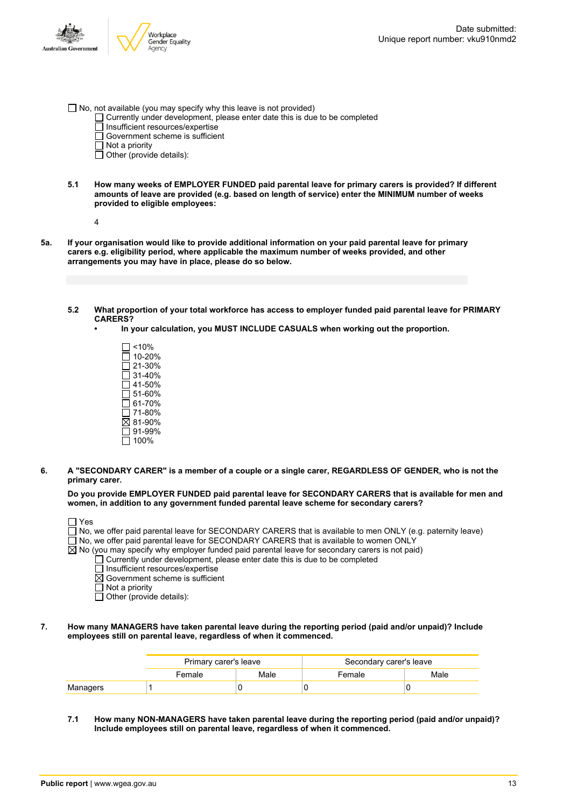

- $\Box$  No, not available (you may specify why this leave is not provided)
	- $\Box$  Currently under development, please enter date this is due to be completed
	- $\overline{\Box}$  Insufficient resources/expertise
	- Government scheme is sufficient
	- $\Box$  Not a priority
	- $\Box$  Other (provide details):
- **5.1 How many weeks of EMPLOYER FUNDED paid parental leave for primary carers is provided? If different amounts of leave are provided (e.g. based on length of service) enter the MINIMUM number of weeks provided to eligible employees:**
	- 4
- 5a. If your organisation would like to provide additional information on your paid parental leave for primary **carers e.g. eligibility period, where applicable the maximum number of weeks provided, and other arrangements you may have in place, please do so below.**
	- **5.2 What proportion of your total workforce has access to employer funded paid parental leave for PRIMARY CARERS?**
		- **• In your calculation, you MUST INCLUDE CASUALS when working out the proportion.**
			- $\Box$  <10% 10-20% 21-30% 31-40%  $\Box$  41-50%  $\overline{51}$ -60%  $\overline{\Box}$  61-70% 71-80% 81-90% 91-99%  $\square$  100%
- 6. A "SECONDARY CARER" is a member of a couple or a single carer, REGARDLESS OF GENDER, who is not the **primary carer.**

**Do you provide EMPLOYER FUNDED paid parental leave for SECONDARY CARERS that is available for men and women, in addition to any government funded parental leave scheme for secondary carers?**

| $\Box$ Yes                                                                                                        |
|-------------------------------------------------------------------------------------------------------------------|
| $\Box$ No, we offer paid parental leave for SECONDARY CARERS that is available to men ONLY (e.g. paternity leave) |
| $\Box$ No, we offer paid parental leave for SECONDARY CARERS that is available to women ONLY                      |
| $\boxtimes$ No (you may specify why employer funded paid parental leave for secondary carers is not paid)         |
| $\Box$ Currently under development, please enter date this is due to be completed                                 |
| $\Box$ Insufficient resources/expertise                                                                           |
| $\boxtimes$ Government scheme is sufficient                                                                       |
| $\Box$ Not a priority                                                                                             |
| $\Box$ Other (provide details):                                                                                   |

**7. How many MANAGERS have taken parental leave during the reporting period (paid and/or unpaid)? Include employees still on parental leave, regardless of when it commenced.**

|          | Primary carer's leave |      | Secondary carer's leave |      |
|----------|-----------------------|------|-------------------------|------|
|          | Female                | Male | Female                  | Male |
| Managers |                       |      |                         |      |

**7.1 How many NON-MANAGERS have taken parental leave during the reporting period (paid and/or unpaid)? Include employees still on parental leave, regardless of when it commenced.**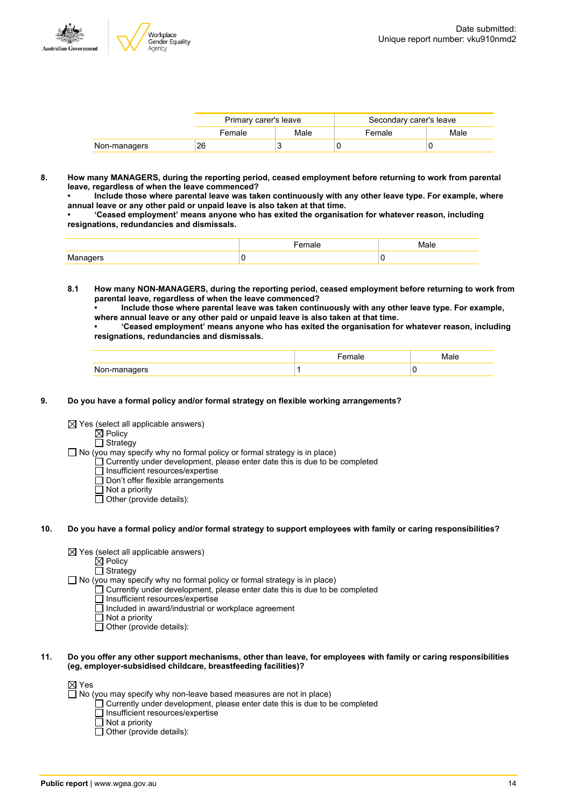

|              | Primary carer's leave |      | Secondary carer's leave |      |
|--------------|-----------------------|------|-------------------------|------|
|              | Female                | Male | Female                  | Male |
| Non-managers | 26                    |      |                         |      |

**8. How many MANAGERS, during the reporting period, ceased employment before returning to work from parental leave, regardless of when the leave commenced?**

**• Include those where parental leave was taken continuously with any other leave type. For example, where annual leave or any other paid or unpaid leave is also taken at that time.**

**• 'Ceased employment' means anyone who has exited the organisation for whatever reason, including resignations, redundancies and dismissals.**

|                    | المصدح<br>emale | Male |
|--------------------|-----------------|------|
| M:<br>ananere<br>. |                 |      |

**8.1 How many NON-MANAGERS, during the reporting period, ceased employment before returning to work from parental leave, regardless of when the leave commenced?**

**• Include those where parental leave was taken continuously with any other leave type. For example, where annual leave or any other paid or unpaid leave is also taken at that time.**

**• 'Ceased employment' means anyone who has exited the organisation for whatever reason, including resignations, redundancies and dismissals.**

|              | ае | Male |
|--------------|----|------|
| Non-managers |    | v    |

#### **9. Do you have a formal policy and/or formal strategy on flexible working arrangements?**

 $\boxtimes$  Yes (select all applicable answers)

 $\boxtimes$  Policy

□ Strategy

 $\Box$  No (you may specify why no formal policy or formal strategy is in place)

- $\Box$  Currently under development, please enter date this is due to be completed
- $\overline{\Box}$  Insufficient resources/expertise
- Don't offer flexible arrangements  $\Box$  Not a priority
- Other (provide details):
- 10. Do you have a formal policy and/or formal strategy to support employees with family or caring responsibilities?
	- $\boxtimes$  Yes (select all applicable answers)

 $\mathbb{\dot{Z}}$  Policy

 $\overline{\Pi}$  Strategy

 $\Box$  No (you may specify why no formal policy or formal strategy is in place)

- $\Box$  Currently under development, please enter date this is due to be completed
- □ Insufficient resources/expertise
- $\Box$  Included in award/industrial or workplace agreement
- $\Box$  Not a priority

 $\Box$  Other (provide details):

11. Do you offer any other support mechanisms, other than leave, for employees with family or caring responsibilities **(eg, employer-subsidised childcare, breastfeeding facilities)?**

⊠ Yes

 $\Box$  No (you may specify why non-leave based measures are not in place)

- $\Box$  Currently under development, please enter date this is due to be completed
- $\overline{\Box}$  Insufficient resources/expertise
- Not a priority

Other (provide details):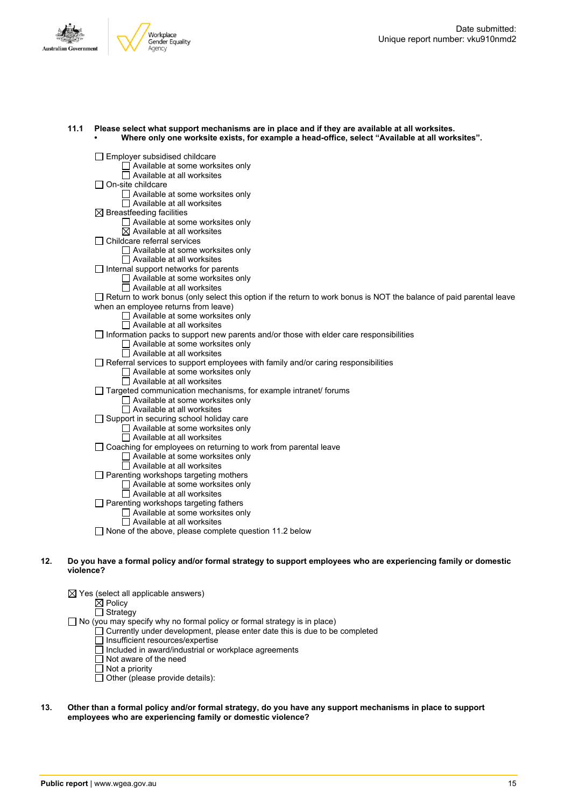



Employer subsidised childcare  $\Box$  Available at some worksites only  $\overline{\Box}$  Available at all worksites On-site childcare Available at some worksites only Available at all worksites  $\boxtimes$  Breastfeeding facilities Available at some worksites only  $\boxtimes$  Available at all worksites Childcare referral services Available at some worksites only  $\overline{\Box}$  Available at all worksites  $\Box$  Internal support networks for parents  $\Box$  Available at some worksites only  $\Box$  Available at all worksites  $\Box$  Return to work bonus (only select this option if the return to work bonus is NOT the balance of paid parental leave when an employee returns from leave) Available at some worksites only  $\Box$  Available at all worksites  $\Box$  Information packs to support new parents and/or those with elder care responsibilities □ Available at some worksites only  $\overline{\Box}$  Available at all worksites  $\Box$  Referral services to support employees with family and/or caring responsibilities Available at some worksites only Available at all worksites  $\Box$  Targeted communication mechanisms, for example intranet/ forums  $\Box$  Available at some worksites only  $\Box$  Available at all worksites  $\Box$  Support in securing school holiday care  $\Box$  Available at some worksites only  $\Box$  Available at all worksites  $\Box$  Coaching for employees on returning to work from parental leave □ Available at some worksites only  $\overline{\Box}$  Available at all worksites  $\Box$  Parenting workshops targeting mothers Available at some worksites only Available at all worksites  $\Box$  Parenting workshops targeting fathers Available at some worksites only Available at all worksites  $\Box$  None of the above, please complete question 11.2 below 12. Do you have a formal policy and/or formal strategy to support employees who are experiencing family or domestic

**11.1 Please select what support mechanisms are in place and if they are available at all worksites.**

**• Where only one worksite exists, for example a head-office, select "Available at all worksites".**

# **violence?**

 $\boxtimes$  Yes (select all applicable answers)  $\dot{\boxtimes}$  Policy  $\Box$  Strategy  $\Box$  No (you may specify why no formal policy or formal strategy is in place) Currently under development, please enter date this is due to be completed Insufficient resources/expertise Included in award/industrial or workplace agreements

- $\Box$  Not aware of the need
- Not a priority
- $\Box$  Other (please provide details):

#### 13. Other than a formal policy and/or formal strategy, do you have any support mechanisms in place to support **employees who are experiencing family or domestic violence?**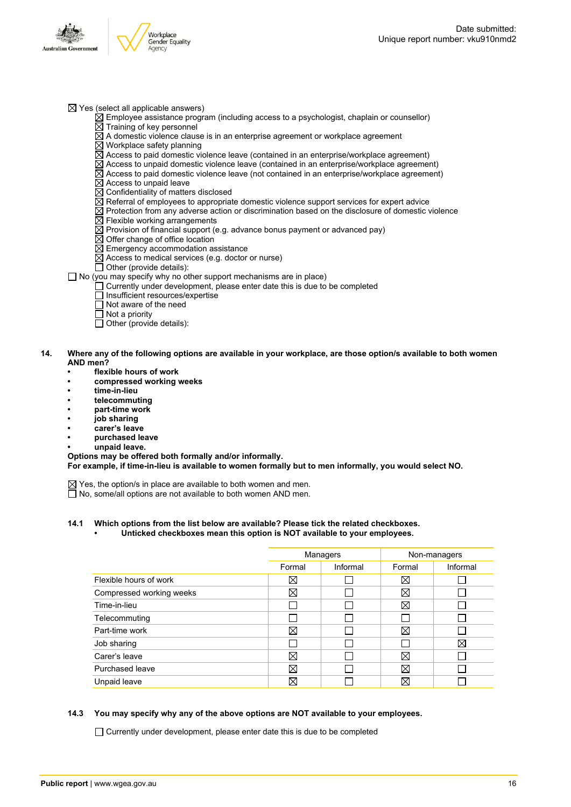

- $\boxtimes$  Yes (select all applicable answers)
	- $\boxtimes$  Employee assistance program (including access to a psychologist, chaplain or counsellor)  $\overline{\boxtimes}$  Training of key personnel
	- $\overline{\boxtimes}$  A domestic violence clause is in an enterprise agreement or workplace agreement
	- $\boxtimes$  Workplace safety planning
	- $\overline{\boxtimes}$  Access to paid domestic violence leave (contained in an enterprise/workplace agreement)
	- $\boxtimes$  Access to unpaid domestic violence leave (contained in an enterprise/workplace agreement)
	- $\boxtimes$  Access to paid domestic violence leave (not contained in an enterprise/workplace agreement)
	- $\overline{\boxtimes}$  Access to unpaid leave
	- $\overline{\boxtimes}$  Confidentiality of matters disclosed
	- $\boxtimes$  Referral of employees to appropriate domestic violence support services for expert advice
	- $\boxtimes$  Protection from any adverse action or discrimination based on the disclosure of domestic violence  $\boxtimes$  Flexible working arrangements
	-
	- $\overline{\boxtimes}$  Provision of financial support (e.g. advance bonus payment or advanced pay)
	- $\boxtimes$  Offer change of office location
	- $\overline{\boxtimes}$  Emergency accommodation assistance
	- $\overline{\boxtimes}$  Access to medical services (e.g. doctor or nurse)
	- $\Box$  Other (provide details):

#### $\Box$  No (you may specify why no other support mechanisms are in place)

- $\Box$  Currently under development, please enter date this is due to be completed
- □ Insufficient resources/expertise
- $\overline{\Box}$  Not aware of the need
- $\Box$  Not a priority
- $\overline{\Box}$  Other (provide details):

#### 14. Where any of the following options are available in your workplace, are those option/s available to both women **AND men?**

- **• flexible hours of work**
- **• compressed working weeks**
- **• time-in-lieu**
- **• telecommuting**
- **• part-time work**
- **• job sharing**
- **• carer's leave**
- **• purchased leave**
- **• unpaid leave.**

#### **Options may be offered both formally and/or informally.**

**For example, if time-in-lieu is available to women formally but to men informally, you would select NO.**

- $\boxtimes$  Yes, the option/s in place are available to both women and men.
- $\Box$  No, some/all options are not available to both women AND men.

#### **14.1 Which options from the list below are available? Please tick the related checkboxes. • Unticked checkboxes mean this option is NOT available to your employees.**

|                          | Managers    |          | Non-managers |             |
|--------------------------|-------------|----------|--------------|-------------|
|                          | Formal      | Informal | Formal       | Informal    |
| Flexible hours of work   | ⋈           |          | ⊠            |             |
| Compressed working weeks | ⊠           |          | $\boxtimes$  |             |
| Time-in-lieu             |             |          | $\boxtimes$  |             |
| Telecommuting            |             |          |              |             |
| Part-time work           | ⊠           |          | X            |             |
| Job sharing              |             |          |              | $\boxtimes$ |
| Carer's leave            | Χ           |          | $\boxtimes$  |             |
| Purchased leave          | Χ           |          | X            |             |
| Unpaid leave             | $\boxtimes$ |          | X            |             |

#### **14.3 You may specify why any of the above options are NOT available to your employees.**

 $\Box$  Currently under development, please enter date this is due to be completed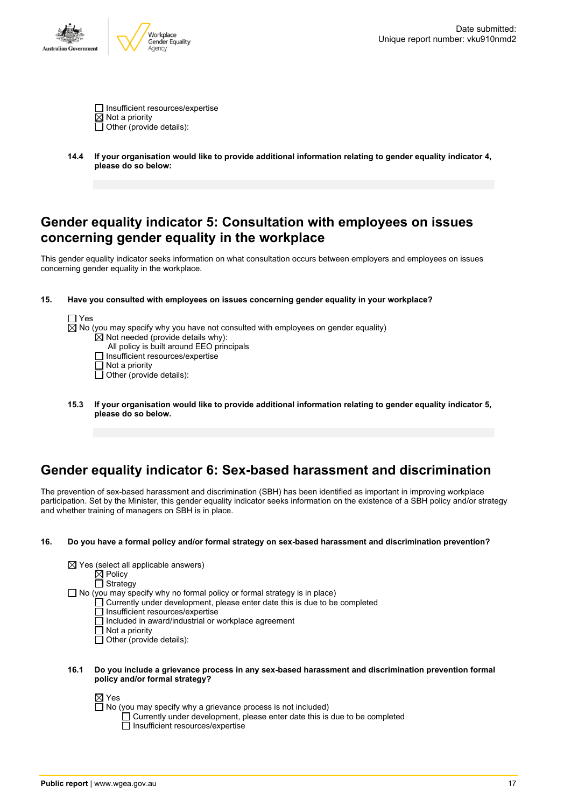

 $\Box$  Insufficient resources/expertise  $\overline{\boxtimes}$  Not a priority  $\overline{\Box}$  Other (provide details):

**14.4 If your organisation would like to provide additional information relating to gender equality indicator 4, please do so below:**

### **Gender equality indicator 5: Consultation with employees on issues concerning gender equality in the workplace**

This gender equality indicator seeks information on what consultation occurs between employers and employees on issues concerning gender equality in the workplace.

#### **15. Have you consulted with employees on issues concerning gender equality in your workplace?**

| ⊢1 Yes                                                                                        |  |
|-----------------------------------------------------------------------------------------------|--|
| $\boxtimes$ No (you may specify why you have not consulted with employees on gender equality) |  |
| $\boxtimes$ Not needed (provide details why):                                                 |  |
| All policy is built around EEO principals                                                     |  |
| $\Box$ Insufficient resources/expertise                                                       |  |
| $\Box$ Not a priority                                                                         |  |
| $\Box$ Other (provide details):                                                               |  |
|                                                                                               |  |

**15.3 If your organisation would like to provide additional information relating to gender equality indicator 5, please do so below.**

# **Gender equality indicator 6: Sex-based harassment and discrimination**

The prevention of sex-based harassment and discrimination (SBH) has been identified as important in improving workplace participation. Set by the Minister, this gender equality indicator seeks information on the existence of a SBH policy and/or strategy and whether training of managers on SBH is in place.

#### **16. Do you have a formal policy and/or formal strategy on sex-based harassment and discrimination prevention?**

| $\boxtimes$ Yes (select all applicable answers) |  |
|-------------------------------------------------|--|
| $\boxtimes$ Policy                              |  |

**Strategy** 

- $\Box$  No (you may specify why no formal policy or formal strategy is in place)
	- Currently under development, please enter date this is due to be completed
		- Insufficient resources/expertise
		- $\Box$  Included in award/industrial or workplace agreement
		- $\Box$  Not a priority
		- $\Box$  Other (provide details):
- **16.1 Do you include a grievance process in any sex-based harassment and discrimination prevention formal policy and/or formal strategy?**

⊠ Yes

 $\Box$  No (you may specify why a grievance process is not included)

Currently under development, please enter date this is due to be completed Insufficient resources/expertise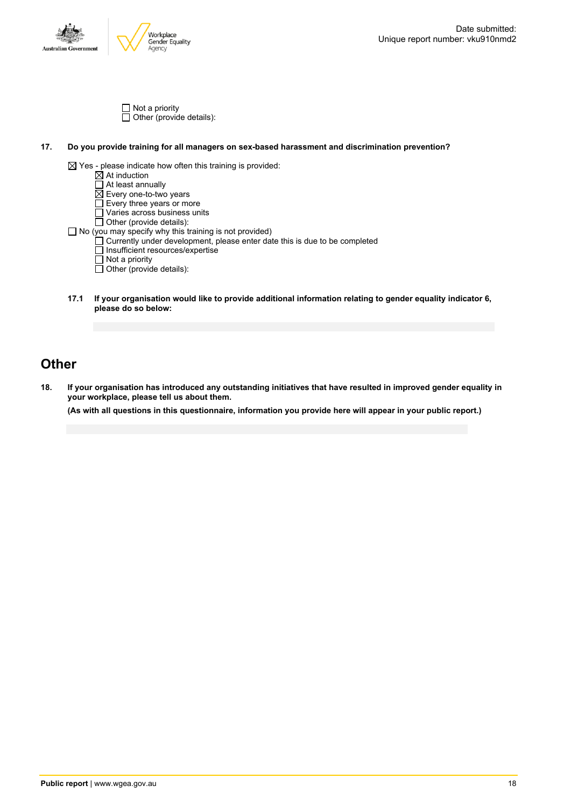

Not a priority Other (provide details):

#### **17. Do you provide training for all managers on sex-based harassment and discrimination prevention?**



**17.1 If your organisation would like to provide additional information relating to gender equality indicator 6, please do so below:**

### **Other**

18. If your organisation has introduced any outstanding initiatives that have resulted in improved gender equality in **your workplace, please tell us about them.**

(As with all questions in this questionnaire, information you provide here will appear in your public report.)